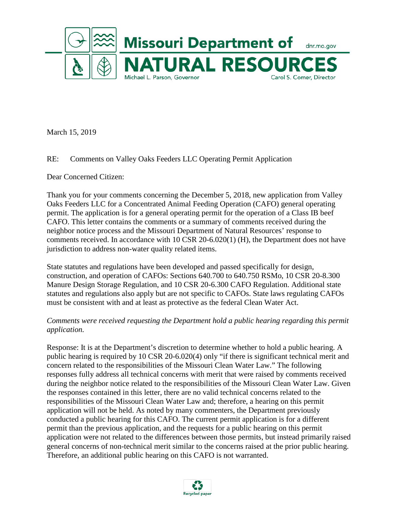

March 15, 2019

# RE: Comments on Valley Oaks Feeders LLC Operating Permit Application

Dear Concerned Citizen:

Thank you for your comments concerning the December 5, 2018, new application from Valley Oaks Feeders LLC for a Concentrated Animal Feeding Operation (CAFO) general operating permit. The application is for a general operating permit for the operation of a Class IB beef CAFO. This letter contains the comments or a summary of comments received during the neighbor notice process and the Missouri Department of Natural Resources' response to comments received. In accordance with 10 CSR 20-6.020(1) (H), the Department does not have jurisdiction to address non-water quality related items.

State statutes and regulations have been developed and passed specifically for design, construction, and operation of CAFOs: Sections 640.700 to 640.750 RSMo, 10 CSR 20-8.300 Manure Design Storage Regulation, and 10 CSR 20-6.300 CAFO Regulation. Additional state statutes and regulations also apply but are not specific to CAFOs. State laws regulating CAFOs must be consistent with and at least as protective as the federal Clean Water Act.

# *Comments were received requesting the Department hold a public hearing regarding this permit application.*

Response: It is at the Department's discretion to determine whether to hold a public hearing. A public hearing is required by 10 CSR 20-6.020(4) only "if there is significant technical merit and concern related to the responsibilities of the Missouri Clean Water Law." The following responses fully address all technical concerns with merit that were raised by comments received during the neighbor notice related to the responsibilities of the Missouri Clean Water Law. Given the responses contained in this letter, there are no valid technical concerns related to the responsibilities of the Missouri Clean Water Law and; therefore, a hearing on this permit application will not be held. As noted by many commenters, the Department previously conducted a public hearing for this CAFO. The current permit application is for a different permit than the previous application, and the requests for a public hearing on this permit application were not related to the differences between those permits, but instead primarily raised general concerns of non-technical merit similar to the concerns raised at the prior public hearing. Therefore, an additional public hearing on this CAFO is not warranted.

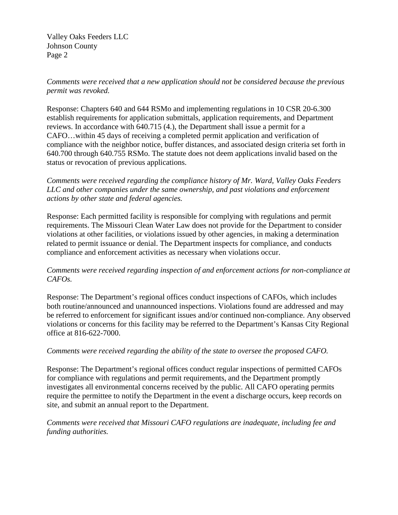*Comments were received that a new application should not be considered because the previous permit was revoked.* 

Response: Chapters 640 and 644 RSMo and implementing regulations in 10 CSR 20-6.300 establish requirements for application submittals, application requirements, and Department reviews. In accordance with 640.715 (4.), the Department shall issue a permit for a CAFO…within 45 days of receiving a completed permit application and verification of compliance with the neighbor notice, buffer distances, and associated design criteria set forth in 640.700 through 640.755 RSMo. The statute does not deem applications invalid based on the status or revocation of previous applications.

*Comments were received regarding the compliance history of Mr. Ward, Valley Oaks Feeders LLC and other companies under the same ownership, and past violations and enforcement actions by other state and federal agencies.*

Response: Each permitted facility is responsible for complying with regulations and permit requirements. The Missouri Clean Water Law does not provide for the Department to consider violations at other facilities, or violations issued by other agencies, in making a determination related to permit issuance or denial. The Department inspects for compliance, and conducts compliance and enforcement activities as necessary when violations occur.

# *Comments were received regarding inspection of and enforcement actions for non-compliance at CAFOs.*

Response: The Department's regional offices conduct inspections of CAFOs, which includes both routine/announced and unannounced inspections. Violations found are addressed and may be referred to enforcement for significant issues and/or continued non-compliance. Any observed violations or concerns for this facility may be referred to the Department's Kansas City Regional office at 816-622-7000.

# *Comments were received regarding the ability of the state to oversee the proposed CAFO.*

Response: The Department's regional offices conduct regular inspections of permitted CAFOs for compliance with regulations and permit requirements, and the Department promptly investigates all environmental concerns received by the public. All CAFO operating permits require the permittee to notify the Department in the event a discharge occurs, keep records on site, and submit an annual report to the Department.

*Comments were received that Missouri CAFO regulations are inadequate, including fee and funding authorities.*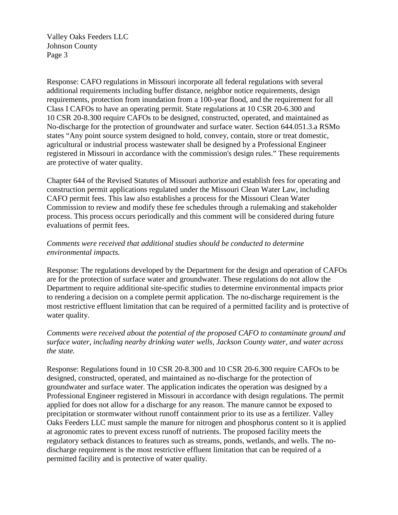Response: CAFO regulations in Missouri incorporate all federal regulations with several additional requirements including buffer distance, neighbor notice requirements, design requirements, protection from inundation from a 100-year flood, and the requirement for all Class I CAFOs to have an operating permit. State regulations at 10 CSR 20-6.300 and 10 CSR 20-8.300 require CAFOs to be designed, constructed, operated, and maintained as No-discharge for the protection of groundwater and surface water. Section 644.051.3.a RSMo states "Any point source system designed to hold, convey, contain, store or treat domestic, agricultural or industrial process wastewater shall be designed by a Professional Engineer registered in Missouri in accordance with the commission's design rules." These requirements are protective of water quality.

Chapter 644 of the Revised Statutes of Missouri authorize and establish fees for operating and construction permit applications regulated under the Missouri Clean Water Law, including CAFO permit fees. This law also establishes a process for the Missouri Clean Water Commission to review and modify these fee schedules through a rulemaking and stakeholder process. This process occurs periodically and this comment will be considered during future evaluations of permit fees.

# *Comments were received that additional studies should be conducted to determine environmental impacts.*

Response: The regulations developed by the Department for the design and operation of CAFOs are for the protection of surface water and groundwater. These regulations do not allow the Department to require additional site-specific studies to determine environmental impacts prior to rendering a decision on a complete permit application. The no-discharge requirement is the most restrictive effluent limitation that can be required of a permitted facility and is protective of water quality.

# *Comments were received about the potential of the proposed CAFO to contaminate ground and surface water, including nearby drinking water wells, Jackson County water, and water across the state.*

Response: Regulations found in 10 CSR 20-8.300 and 10 CSR 20-6.300 require CAFOs to be designed, constructed, operated, and maintained as no-discharge for the protection of groundwater and surface water. The application indicates the operation was designed by a Professional Engineer registered in Missouri in accordance with design regulations. The permit applied for does not allow for a discharge for any reason. The manure cannot be exposed to precipitation or stormwater without runoff containment prior to its use as a fertilizer. Valley Oaks Feeders LLC must sample the manure for nitrogen and phosphorus content so it is applied at agronomic rates to prevent excess runoff of nutrients. The proposed facility meets the regulatory setback distances to features such as streams, ponds, wetlands, and wells. The nodischarge requirement is the most restrictive effluent limitation that can be required of a permitted facility and is protective of water quality.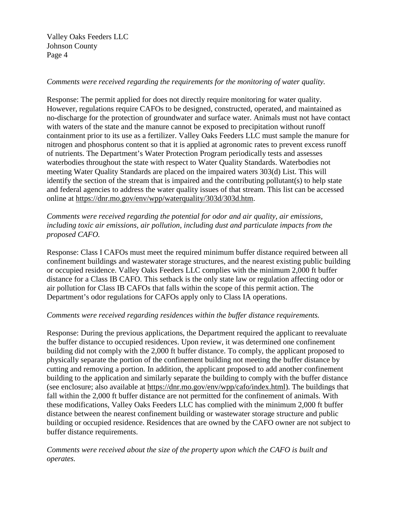### *Comments were received regarding the requirements for the monitoring of water quality.*

Response: The permit applied for does not directly require monitoring for water quality. However, regulations require CAFOs to be designed, constructed, operated, and maintained as no-discharge for the protection of groundwater and surface water. Animals must not have contact with waters of the state and the manure cannot be exposed to precipitation without runoff containment prior to its use as a fertilizer. Valley Oaks Feeders LLC must sample the manure for nitrogen and phosphorus content so that it is applied at agronomic rates to prevent excess runoff of nutrients. The Department's Water Protection Program periodically tests and assesses waterbodies throughout the state with respect to Water Quality Standards. Waterbodies not meeting Water Quality Standards are placed on the impaired waters 303(d) List. This will identify the section of the stream that is impaired and the contributing pollutant(s) to help state and federal agencies to address the water quality issues of that stream. This list can be accessed online at [https://dnr.mo.gov/env/wpp/waterquality/303d/303d.htm.](https://dnr.mo.gov/env/wpp/waterquality/303d/303d.htm)

*Comments were received regarding the potential for odor and air quality, air emissions, including toxic air emissions, air pollution, including dust and particulate impacts from the proposed CAFO.*

Response: Class I CAFOs must meet the required minimum buffer distance required between all confinement buildings and wastewater storage structures, and the nearest existing public building or occupied residence. Valley Oaks Feeders LLC complies with the minimum 2,000 ft buffer distance for a Class IB CAFO. This setback is the only state law or regulation affecting odor or air pollution for Class IB CAFOs that falls within the scope of this permit action. The Department's odor regulations for CAFOs apply only to Class IA operations.

#### *Comments were received regarding residences within the buffer distance requirements.*

Response: During the previous applications, the Department required the applicant to reevaluate the buffer distance to occupied residences. Upon review, it was determined one confinement building did not comply with the 2,000 ft buffer distance. To comply, the applicant proposed to physically separate the portion of the confinement building not meeting the buffer distance by cutting and removing a portion. In addition, the applicant proposed to add another confinement building to the application and similarly separate the building to comply with the buffer distance (see enclosure; also available at [https://dnr.mo.gov/env/wpp/cafo/index.html\)](https://dnr.mo.gov/env/wpp/cafo/index.html). The buildings that fall within the 2,000 ft buffer distance are not permitted for the confinement of animals. With these modifications, Valley Oaks Feeders LLC has complied with the minimum 2,000 ft buffer distance between the nearest confinement building or wastewater storage structure and public building or occupied residence. Residences that are owned by the CAFO owner are not subject to buffer distance requirements.

*Comments were received about the size of the property upon which the CAFO is built and operates.*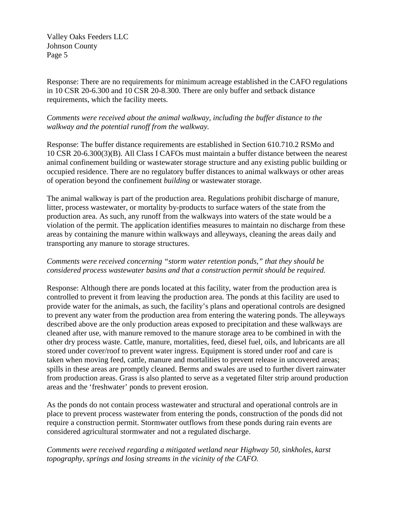Response: There are no requirements for minimum acreage established in the CAFO regulations in 10 CSR 20-6.300 and 10 CSR 20-8.300. There are only buffer and setback distance requirements, which the facility meets.

### *Comments were received about the animal walkway, including the buffer distance to the walkway and the potential runoff from the walkway.*

Response: The buffer distance requirements are established in Section 610.710.2 RSMo and 10 CSR 20-6.300(3)(B). All Class I CAFOs must maintain a buffer distance between the nearest animal confinement building or wastewater storage structure and any existing public building or occupied residence. There are no regulatory buffer distances to animal walkways or other areas of operation beyond the confinement *building* or wastewater storage.

The animal walkway is part of the production area. Regulations prohibit discharge of manure, litter, process wastewater, or mortality by-products to surface waters of the state from the production area. As such, any runoff from the walkways into waters of the state would be a violation of the permit. The application identifies measures to maintain no discharge from these areas by containing the manure within walkways and alleyways, cleaning the areas daily and transporting any manure to storage structures.

### *Comments were received concerning "storm water retention ponds," that they should be considered process wastewater basins and that a construction permit should be required.*

Response: Although there are ponds located at this facility, water from the production area is controlled to prevent it from leaving the production area. The ponds at this facility are used to provide water for the animals, as such, the facility's plans and operational controls are designed to prevent any water from the production area from entering the watering ponds. The alleyways described above are the only production areas exposed to precipitation and these walkways are cleaned after use, with manure removed to the manure storage area to be combined in with the other dry process waste. Cattle, manure, mortalities, feed, diesel fuel, oils, and lubricants are all stored under cover/roof to prevent water ingress. Equipment is stored under roof and care is taken when moving feed, cattle, manure and mortalities to prevent release in uncovered areas; spills in these areas are promptly cleaned. Berms and swales are used to further divert rainwater from production areas. Grass is also planted to serve as a vegetated filter strip around production areas and the 'freshwater' ponds to prevent erosion.

As the ponds do not contain process wastewater and structural and operational controls are in place to prevent process wastewater from entering the ponds, construction of the ponds did not require a construction permit. Stormwater outflows from these ponds during rain events are considered agricultural stormwater and not a regulated discharge.

# *Comments were received regarding a mitigated wetland near Highway 50, sinkholes, karst topography, springs and losing streams in the vicinity of the CAFO.*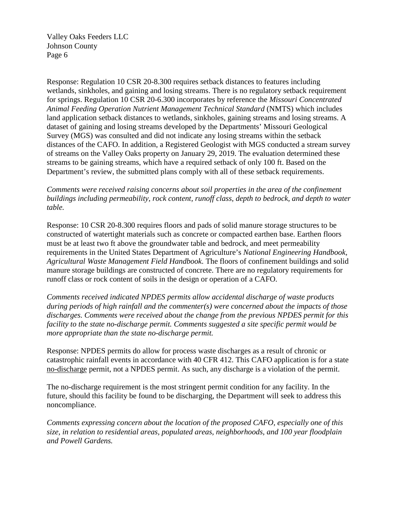Response: Regulation 10 CSR 20-8.300 requires setback distances to features including wetlands, sinkholes, and gaining and losing streams. There is no regulatory setback requirement for springs. Regulation 10 CSR 20-6.300 incorporates by reference the *Missouri Concentrated Animal Feeding Operation Nutrient Management Technical Standard* (NMTS) which includes land application setback distances to wetlands, sinkholes, gaining streams and losing streams. A dataset of gaining and losing streams developed by the Departments' Missouri Geological Survey (MGS) was consulted and did not indicate any losing streams within the setback distances of the CAFO. In addition, a Registered Geologist with MGS conducted a stream survey of streams on the Valley Oaks property on January 29, 2019. The evaluation determined these streams to be gaining streams, which have a required setback of only 100 ft. Based on the Department's review, the submitted plans comply with all of these setback requirements.

*Comments were received raising concerns about soil properties in the area of the confinement buildings including permeability, rock content, runoff class, depth to bedrock, and depth to water table.* 

Response: 10 CSR 20-8.300 requires floors and pads of solid manure storage structures to be constructed of watertight materials such as concrete or compacted earthen base. Earthen floors must be at least two ft above the groundwater table and bedrock, and meet permeability requirements in the United States Department of Agriculture's *National Engineering Handbook, Agricultural Waste Management Field Handbook*. The floors of confinement buildings and solid manure storage buildings are constructed of concrete. There are no regulatory requirements for runoff class or rock content of soils in the design or operation of a CAFO.

*Comments received indicated NPDES permits allow accidental discharge of waste products during periods of high rainfall and the commenter(s) were concerned about the impacts of those discharges. Comments were received about the change from the previous NPDES permit for this facility to the state no-discharge permit. Comments suggested a site specific permit would be more appropriate than the state no-discharge permit.*

Response: NPDES permits do allow for process waste discharges as a result of chronic or catastrophic rainfall events in accordance with 40 CFR 412. This CAFO application is for a state no-discharge permit, not a NPDES permit. As such, any discharge is a violation of the permit.

The no-discharge requirement is the most stringent permit condition for any facility. In the future, should this facility be found to be discharging, the Department will seek to address this noncompliance.

*Comments expressing concern about the location of the proposed CAFO, especially one of this size, in relation to residential areas, populated areas, neighborhoods, and 100 year floodplain and Powell Gardens.*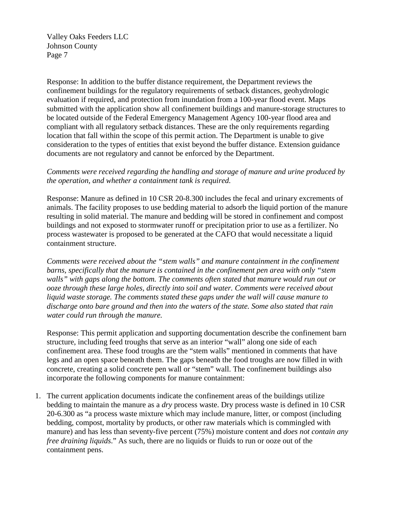Response: In addition to the buffer distance requirement, the Department reviews the confinement buildings for the regulatory requirements of setback distances, geohydrologic evaluation if required, and protection from inundation from a 100-year flood event. Maps submitted with the application show all confinement buildings and manure-storage structures to be located outside of the Federal Emergency Management Agency 100-year flood area and compliant with all regulatory setback distances. These are the only requirements regarding location that fall within the scope of this permit action. The Department is unable to give consideration to the types of entities that exist beyond the buffer distance. Extension guidance documents are not regulatory and cannot be enforced by the Department.

#### *Comments were received regarding the handling and storage of manure and urine produced by the operation, and whether a containment tank is required.*

Response: Manure as defined in 10 CSR 20-8.300 includes the fecal and urinary excrements of animals. The facility proposes to use bedding material to adsorb the liquid portion of the manure resulting in solid material. The manure and bedding will be stored in confinement and compost buildings and not exposed to stormwater runoff or precipitation prior to use as a fertilizer. No process wastewater is proposed to be generated at the CAFO that would necessitate a liquid containment structure.

*Comments were received about the "stem walls" and manure containment in the confinement barns, specifically that the manure is contained in the confinement pen area with only "stem walls" with gaps along the bottom. The comments often stated that manure would run out or ooze through these large holes, directly into soil and water. Comments were received about liquid waste storage. The comments stated these gaps under the wall will cause manure to discharge onto bare ground and then into the waters of the state. Some also stated that rain water could run through the manure.* 

Response: This permit application and supporting documentation describe the confinement barn structure, including feed troughs that serve as an interior "wall" along one side of each confinement area. These food troughs are the "stem walls" mentioned in comments that have legs and an open space beneath them. The gaps beneath the food troughs are now filled in with concrete, creating a solid concrete pen wall or "stem" wall. The confinement buildings also incorporate the following components for manure containment:

1. The current application documents indicate the confinement areas of the buildings utilize bedding to maintain the manure as a *dry* process waste. Dry process waste is defined in 10 CSR 20-6.300 as "a process waste mixture which may include manure, litter, or compost (including bedding, compost, mortality by products, or other raw materials which is commingled with manure) and has less than seventy-five percent (75%) moisture content and *does not contain any free draining liquids*." As such, there are no liquids or fluids to run or ooze out of the containment pens.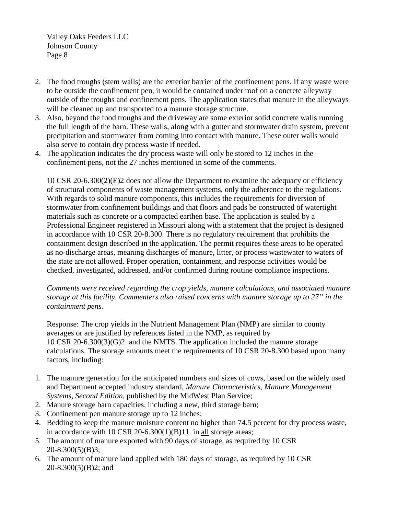- 2. The food troughs (stem walls) are the exterior barrier of the confinement pens. If any waste were to be outside the confinement pen, it would be contained under roof on a concrete alleyway outside of the troughs and confinement pens. The application states that manure in the alleyways will be cleaned up and transported to a manure storage structure.
- 3. Also, beyond the food troughs and the driveway are some exterior solid concrete walls running the full length of the barn. These walls, along with a gutter and stormwater drain system, prevent precipitation and stormwater from coming into contact with manure. These outer walls would also serve to contain dry process waste if needed.
- 4. The application indicates the dry process waste will only be stored to 12 inches in the confinement pens, not the 27 inches mentioned in some of the comments.

10 CSR 20-6.300(2)(E)2 does not allow the Department to examine the adequacy or efficiency of structural components of waste management systems, only the adherence to the regulations. With regards to solid manure components, this includes the requirements for diversion of stormwater from confinement buildings and that floors and pads be constructed of watertight materials such as concrete or a compacted earthen base. The application is sealed by a Professional Engineer registered in Missouri along with a statement that the project is designed in accordance with 10 CSR 20-8.300. There is no regulatory requirement that prohibits the containment design described in the application. The permit requires these areas to be operated as no-discharge areas, meaning discharges of manure, litter, or process wastewater to waters of the state are not allowed. Proper operation, containment, and response activities would be checked, investigated, addressed, and/or confirmed during routine compliance inspections.

*Comments were received regarding the crop yields, manure calculations, and associated manure storage at this facility. Commenters also raised concerns with manure storage up to 27" in the containment pens.*

Response: The crop yields in the Nutrient Management Plan (NMP) are similar to county averages or are justified by references listed in the NMP, as required by 10 CSR 20-6.300(3)(G)2. and the NMTS. The application included the manure storage calculations. The storage amounts meet the requirements of 10 CSR 20-8.300 based upon many factors, including:

- 1. The manure generation for the anticipated numbers and sizes of cows, based on the widely used and Department accepted industry standard, *Manure Characteristics, Manure Management Systems, Second Edition*, published by the MidWest Plan Service;
- 2. Manure storage barn capacities, including a new, third storage barn;
- 3. Confinement pen manure storage up to 12 inches;
- 4. Bedding to keep the manure moisture content no higher than 74.5 percent for dry process waste, in accordance with 10 CSR 20-6.300(1)(B)11. in all storage areas;
- 5. The amount of manure exported with 90 days of storage, as required by 10 CSR 20-8.300(5)(B)3;
- 6. The amount of manure land applied with 180 days of storage, as required by 10 CSR 20-8.300(5)(B)2; and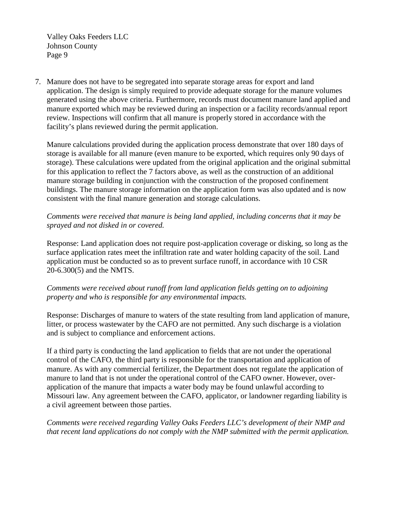7. Manure does not have to be segregated into separate storage areas for export and land application. The design is simply required to provide adequate storage for the manure volumes generated using the above criteria. Furthermore, records must document manure land applied and manure exported which may be reviewed during an inspection or a facility records/annual report review. Inspections will confirm that all manure is properly stored in accordance with the facility's plans reviewed during the permit application.

Manure calculations provided during the application process demonstrate that over 180 days of storage is available for all manure (even manure to be exported, which requires only 90 days of storage). These calculations were updated from the original application and the original submittal for this application to reflect the 7 factors above, as well as the construction of an additional manure storage building in conjunction with the construction of the proposed confinement buildings. The manure storage information on the application form was also updated and is now consistent with the final manure generation and storage calculations.

### *Comments were received that manure is being land applied, including concerns that it may be sprayed and not disked in or covered.*

Response: Land application does not require post-application coverage or disking, so long as the surface application rates meet the infiltration rate and water holding capacity of the soil. Land application must be conducted so as to prevent surface runoff, in accordance with 10 CSR 20-6.300(5) and the NMTS.

# *Comments were received about runoff from land application fields getting on to adjoining property and who is responsible for any environmental impacts.*

Response: Discharges of manure to waters of the state resulting from land application of manure, litter, or process wastewater by the CAFO are not permitted. Any such discharge is a violation and is subject to compliance and enforcement actions.

If a third party is conducting the land application to fields that are not under the operational control of the CAFO, the third party is responsible for the transportation and application of manure. As with any commercial fertilizer, the Department does not regulate the application of manure to land that is not under the operational control of the CAFO owner. However, overapplication of the manure that impacts a water body may be found unlawful according to Missouri law. Any agreement between the CAFO, applicator, or landowner regarding liability is a civil agreement between those parties.

*Comments were received regarding Valley Oaks Feeders LLC's development of their NMP and that recent land applications do not comply with the NMP submitted with the permit application.*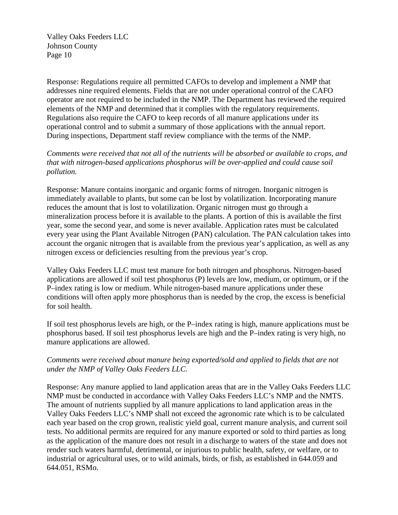Response: Regulations require all permitted CAFOs to develop and implement a NMP that addresses nine required elements. Fields that are not under operational control of the CAFO operator are not required to be included in the NMP. The Department has reviewed the required elements of the NMP and determined that it complies with the regulatory requirements. Regulations also require the CAFO to keep records of all manure applications under its operational control and to submit a summary of those applications with the annual report. During inspections, Department staff review compliance with the terms of the NMP.

*Comments were received that not all of the nutrients will be absorbed or available to crops, and that with nitrogen-based applications phosphorus will be over-applied and could cause soil pollution.*

Response: Manure contains inorganic and organic forms of nitrogen. Inorganic nitrogen is immediately available to plants, but some can be lost by volatilization. Incorporating manure reduces the amount that is lost to volatilization. Organic nitrogen must go through a mineralization process before it is available to the plants. A portion of this is available the first year, some the second year, and some is never available. Application rates must be calculated every year using the Plant Available Nitrogen (PAN) calculation. The PAN calculation takes into account the organic nitrogen that is available from the previous year's application, as well as any nitrogen excess or deficiencies resulting from the previous year's crop.

Valley Oaks Feeders LLC must test manure for both nitrogen and phosphorus. Nitrogen-based applications are allowed if soil test phosphorus (P) levels are low, medium, or optimum, or if the P–index rating is low or medium. While nitrogen-based manure applications under these conditions will often apply more phosphorus than is needed by the crop, the excess is beneficial for soil health.

If soil test phosphorus levels are high, or the P–index rating is high, manure applications must be phosphorus based. If soil test phosphorus levels are high and the P–index rating is very high, no manure applications are allowed.

# *Comments were received about manure being exported/sold and applied to fields that are not under the NMP of Valley Oaks Feeders LLC.*

Response: Any manure applied to land application areas that are in the Valley Oaks Feeders LLC NMP must be conducted in accordance with Valley Oaks Feeders LLC's NMP and the NMTS. The amount of nutrients supplied by all manure applications to land application areas in the Valley Oaks Feeders LLC's NMP shall not exceed the agronomic rate which is to be calculated each year based on the crop grown, realistic yield goal, current manure analysis, and current soil tests. No additional permits are required for any manure exported or sold to third parties as long as the application of the manure does not result in a discharge to waters of the state and does not render such waters harmful, detrimental, or injurious to public health, safety, or welfare, or to industrial or agricultural uses, or to wild animals, birds, or fish, as established in 644.059 and 644.051, RSMo.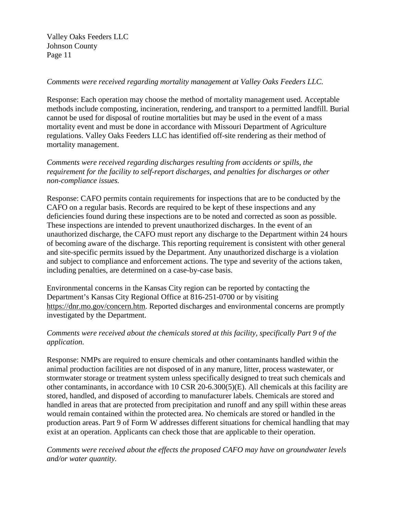# *Comments were received regarding mortality management at Valley Oaks Feeders LLC.*

Response: Each operation may choose the method of mortality management used. Acceptable methods include composting, incineration, rendering, and transport to a permitted landfill. Burial cannot be used for disposal of routine mortalities but may be used in the event of a mass mortality event and must be done in accordance with Missouri Department of Agriculture regulations. Valley Oaks Feeders LLC has identified off-site rendering as their method of mortality management.

*Comments were received regarding discharges resulting from accidents or spills, the requirement for the facility to self-report discharges, and penalties for discharges or other non-compliance issues.*

Response: CAFO permits contain requirements for inspections that are to be conducted by the CAFO on a regular basis. Records are required to be kept of these inspections and any deficiencies found during these inspections are to be noted and corrected as soon as possible. These inspections are intended to prevent unauthorized discharges. In the event of an unauthorized discharge, the CAFO must report any discharge to the Department within 24 hours of becoming aware of the discharge. This reporting requirement is consistent with other general and site-specific permits issued by the Department. Any unauthorized discharge is a violation and subject to compliance and enforcement actions. The type and severity of the actions taken, including penalties, are determined on a case-by-case basis.

Environmental concerns in the Kansas City region can be reported by contacting the Department's Kansas City Regional Office at 816-251-0700 or by visiting [https://dnr.mo.gov/concern.htm.](https://dnr.mo.gov/concern.htm) Reported discharges and environmental concerns are promptly investigated by the Department.

# *Comments were received about the chemicals stored at this facility, specifically Part 9 of the application.*

Response: NMPs are required to ensure chemicals and other contaminants handled within the animal production facilities are not disposed of in any manure, litter, process wastewater, or stormwater storage or treatment system unless specifically designed to treat such chemicals and other contaminants, in accordance with 10 CSR 20-6.300(5)(E). All chemicals at this facility are stored, handled, and disposed of according to manufacturer labels. Chemicals are stored and handled in areas that are protected from precipitation and runoff and any spill within these areas would remain contained within the protected area. No chemicals are stored or handled in the production areas. Part 9 of Form W addresses different situations for chemical handling that may exist at an operation. Applicants can check those that are applicable to their operation.

*Comments were received about the effects the proposed CAFO may have on groundwater levels and/or water quantity.*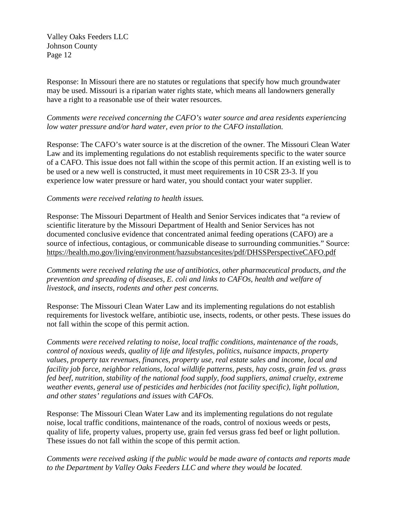Response: In Missouri there are no statutes or regulations that specify how much groundwater may be used. Missouri is a riparian water rights state, which means all landowners generally have a right to a reasonable use of their water resources.

### *Comments were received concerning the CAFO's water source and area residents experiencing low water pressure and/or hard water, even prior to the CAFO installation.*

Response: The CAFO's water source is at the discretion of the owner. The Missouri Clean Water Law and its implementing regulations do not establish requirements specific to the water source of a CAFO. This issue does not fall within the scope of this permit action. If an existing well is to be used or a new well is constructed, it must meet requirements in 10 CSR 23-3. If you experience low water pressure or hard water, you should contact your water supplier.

#### *Comments were received relating to health issues.*

Response: The Missouri Department of Health and Senior Services indicates that "a review of scientific literature by the Missouri Department of Health and Senior Services has not documented conclusive evidence that concentrated animal feeding operations (CAFO) are a source of infectious, contagious, or communicable disease to surrounding communities." Source: <https://health.mo.gov/living/environment/hazsubstancesites/pdf/DHSSPerspectiveCAFO.pdf>

*Comments were received relating the use of antibiotics, other pharmaceutical products, and the prevention and spreading of diseases, E. coli and links to CAFOs, health and welfare of livestock, and insects, rodents and other pest concerns.*

Response: The Missouri Clean Water Law and its implementing regulations do not establish requirements for livestock welfare, antibiotic use, insects, rodents, or other pests. These issues do not fall within the scope of this permit action.

*Comments were received relating to noise, local traffic conditions, maintenance of the roads, control of noxious weeds, quality of life and lifestyles, politics, nuisance impacts, property values, property tax revenues, finances, property use, real estate sales and income, local and facility job force, neighbor relations, local wildlife patterns, pests, hay costs, grain fed vs. grass fed beef, nutrition, stability of the national food supply, food suppliers, animal cruelty, extreme weather events, general use of pesticides and herbicides (not facility specific), light pollution, and other states' regulations and issues with CAFOs.*

Response: The Missouri Clean Water Law and its implementing regulations do not regulate noise, local traffic conditions, maintenance of the roads, control of noxious weeds or pests, quality of life, property values, property use, grain fed versus grass fed beef or light pollution. These issues do not fall within the scope of this permit action.

*Comments were received asking if the public would be made aware of contacts and reports made to the Department by Valley Oaks Feeders LLC and where they would be located.*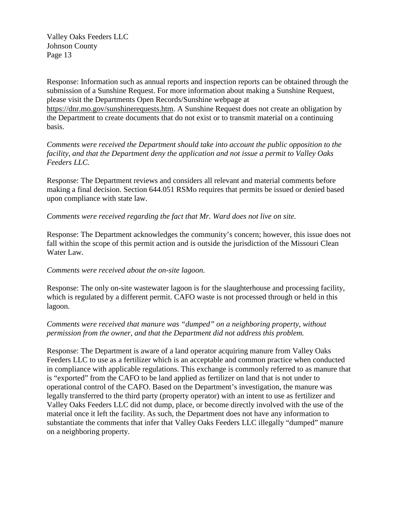Response: Information such as annual reports and inspection reports can be obtained through the submission of a Sunshine Request. For more information about making a Sunshine Request, please visit the Departments Open Records/Sunshine webpage at [https://dnr.mo.gov/sunshinerequests.htm.](https://dnr.mo.gov/sunshinerequests.htm) A Sunshine Request does not create an obligation by the Department to create documents that do not exist or to transmit material on a continuing basis.

*Comments were received the Department should take into account the public opposition to the facility, and that the Department deny the application and not issue a permit to Valley Oaks Feeders LLC.*

Response: The Department reviews and considers all relevant and material comments before making a final decision. Section 644.051 RSMo requires that permits be issued or denied based upon compliance with state law.

### *Comments were received regarding the fact that Mr. Ward does not live on site.*

Response: The Department acknowledges the community's concern; however, this issue does not fall within the scope of this permit action and is outside the jurisdiction of the Missouri Clean Water Law.

#### *Comments were received about the on-site lagoon.*

Response: The only on-site wastewater lagoon is for the slaughterhouse and processing facility, which is regulated by a different permit. CAFO waste is not processed through or held in this lagoon.

### *Comments were received that manure was "dumped" on a neighboring property, without permission from the owner, and that the Department did not address this problem.*

Response: The Department is aware of a land operator acquiring manure from Valley Oaks Feeders LLC to use as a fertilizer which is an acceptable and common practice when conducted in compliance with applicable regulations. This exchange is commonly referred to as manure that is "exported" from the CAFO to be land applied as fertilizer on land that is not under to operational control of the CAFO. Based on the Department's investigation, the manure was legally transferred to the third party (property operator) with an intent to use as fertilizer and Valley Oaks Feeders LLC did not dump, place, or become directly involved with the use of the material once it left the facility. As such, the Department does not have any information to substantiate the comments that infer that Valley Oaks Feeders LLC illegally "dumped" manure on a neighboring property.